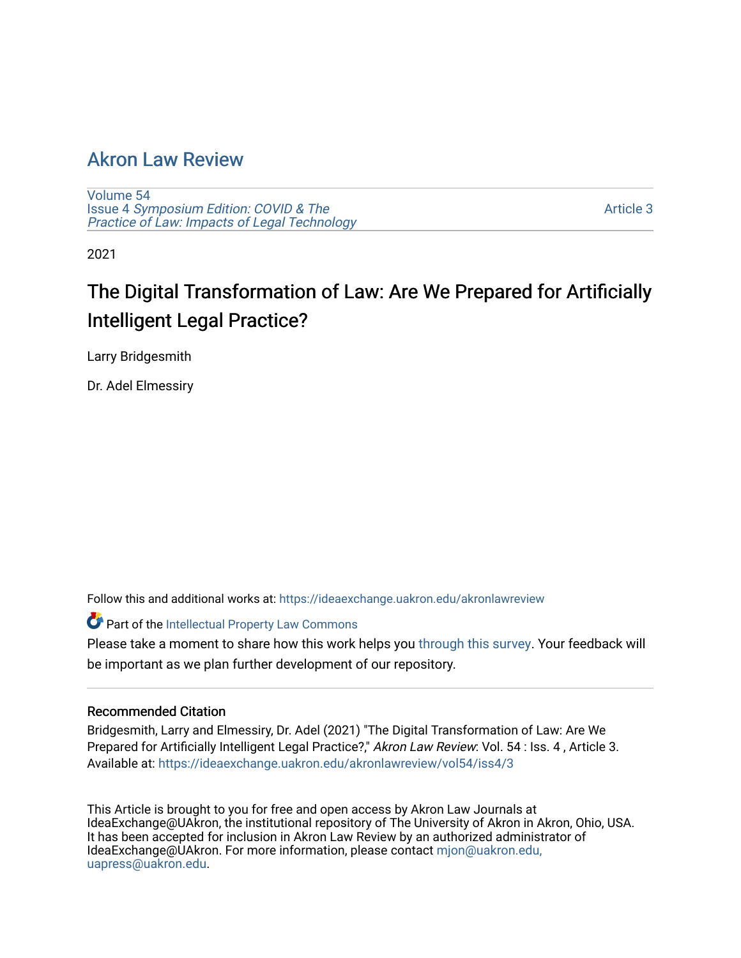# [Akron Law Review](https://ideaexchange.uakron.edu/akronlawreview)

[Volume 54](https://ideaexchange.uakron.edu/akronlawreview/vol54) Issue 4 [Symposium Edition: COVID & The](https://ideaexchange.uakron.edu/akronlawreview/vol54/iss4)  [Practice of Law: Impacts of Legal Technology](https://ideaexchange.uakron.edu/akronlawreview/vol54/iss4)

[Article 3](https://ideaexchange.uakron.edu/akronlawreview/vol54/iss4/3) 

2021

# The Digital Transformation of Law: Are We Prepared for Artificially Intelligent Legal Practice?

Larry Bridgesmith

Dr. Adel Elmessiry

Follow this and additional works at: [https://ideaexchange.uakron.edu/akronlawreview](https://ideaexchange.uakron.edu/akronlawreview?utm_source=ideaexchange.uakron.edu%2Fakronlawreview%2Fvol54%2Fiss4%2F3&utm_medium=PDF&utm_campaign=PDFCoverPages)

Part of the [Intellectual Property Law Commons](http://network.bepress.com/hgg/discipline/896?utm_source=ideaexchange.uakron.edu%2Fakronlawreview%2Fvol54%2Fiss4%2F3&utm_medium=PDF&utm_campaign=PDFCoverPages) 

Please take a moment to share how this work helps you [through this survey](http://survey.az1.qualtrics.com/SE/?SID=SV_eEVH54oiCbOw05f&URL=https://ideaexchange.uakron.edu/akronlawreview/vol54/iss4/3). Your feedback will be important as we plan further development of our repository.

## Recommended Citation

Bridgesmith, Larry and Elmessiry, Dr. Adel (2021) "The Digital Transformation of Law: Are We Prepared for Artificially Intelligent Legal Practice?," Akron Law Review: Vol. 54 : Iss. 4 , Article 3. Available at: [https://ideaexchange.uakron.edu/akronlawreview/vol54/iss4/3](https://ideaexchange.uakron.edu/akronlawreview/vol54/iss4/3?utm_source=ideaexchange.uakron.edu%2Fakronlawreview%2Fvol54%2Fiss4%2F3&utm_medium=PDF&utm_campaign=PDFCoverPages) 

This Article is brought to you for free and open access by Akron Law Journals at IdeaExchange@UAkron, the institutional repository of The University of Akron in Akron, Ohio, USA. It has been accepted for inclusion in Akron Law Review by an authorized administrator of IdeaExchange@UAkron. For more information, please contact [mjon@uakron.edu,](mailto:mjon@uakron.edu,%20uapress@uakron.edu) [uapress@uakron.edu.](mailto:mjon@uakron.edu,%20uapress@uakron.edu)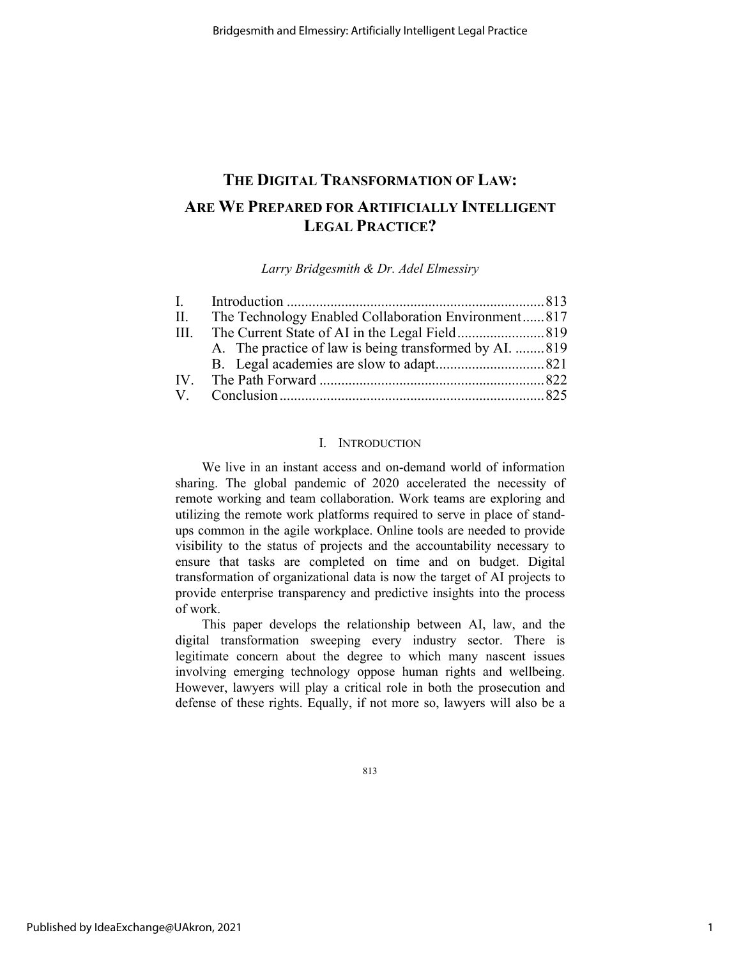## **THE DIGITAL TRANSFORMATION OF LAW: ARE WE PREPARED FOR ARTIFICIALLY INTELLIGENT LEGAL PRACTICE?**

*Larry Bridgesmith & Dr. Adel Elmessiry*

|     | II. The Technology Enabled Collaboration Environment817 |  |
|-----|---------------------------------------------------------|--|
| HI. |                                                         |  |
|     | A. The practice of law is being transformed by AI. 819  |  |
|     |                                                         |  |
|     |                                                         |  |
|     |                                                         |  |

### I. INTRODUCTION

We live in an instant access and on-demand world of information sharing. The global pandemic of 2020 accelerated the necessity of remote working and team collaboration. Work teams are exploring and utilizing the remote work platforms required to serve in place of standups common in the agile workplace. Online tools are needed to provide visibility to the status of projects and the accountability necessary to ensure that tasks are completed on time and on budget. Digital transformation of organizational data is now the target of AI projects to provide enterprise transparency and predictive insights into the process of work.

This paper develops the relationship between AI, law, and the digital transformation sweeping every industry sector. There is legitimate concern about the degree to which many nascent issues involving emerging technology oppose human rights and wellbeing. However, lawyers will play a critical role in both the prosecution and defense of these rights. Equally, if not more so, lawyers will also be a

813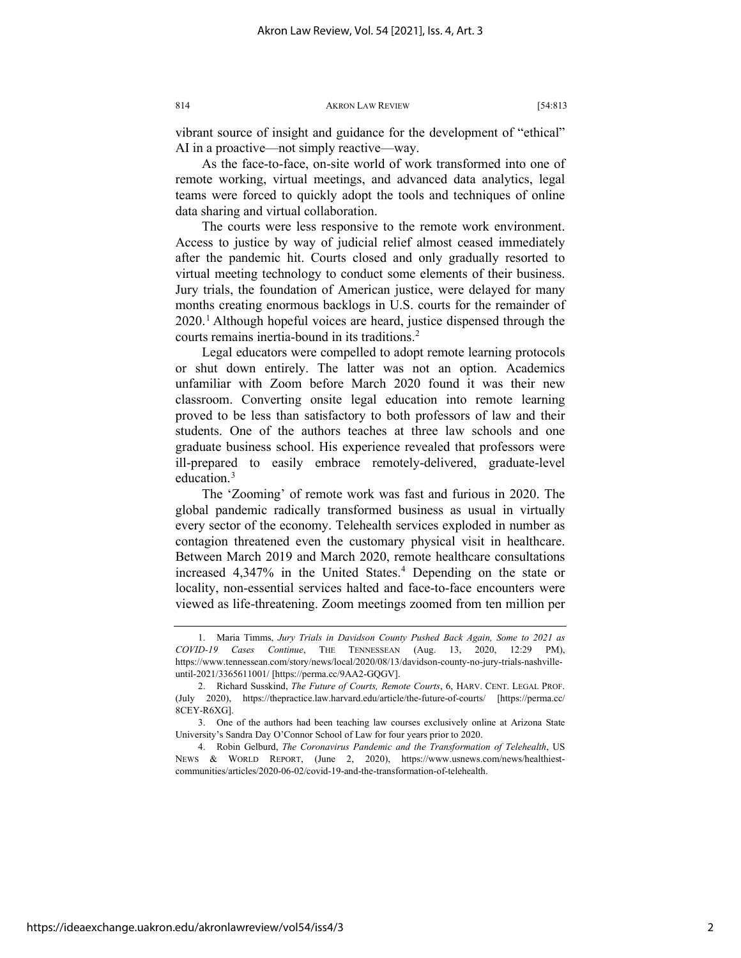vibrant source of insight and guidance for the development of "ethical" AI in a proactive—not simply reactive—way.

As the face-to-face, on-site world of work transformed into one of remote working, virtual meetings, and advanced data analytics, legal teams were forced to quickly adopt the tools and techniques of online data sharing and virtual collaboration.

The courts were less responsive to the remote work environment. Access to justice by way of judicial relief almost ceased immediately after the pandemic hit. Courts closed and only gradually resorted to virtual meeting technology to conduct some elements of their business. Jury trials, the foundation of American justice, were delayed for many months creating enormous backlogs in U.S. courts for the remainder of 2020.[1](#page-2-0) Although hopeful voices are heard, justice dispensed through the courts remains inertia-bound in its traditions.<sup>2</sup>

Legal educators were compelled to adopt remote learning protocols or shut down entirely. The latter was not an option. Academics unfamiliar with Zoom before March 2020 found it was their new classroom. Converting onsite legal education into remote learning proved to be less than satisfactory to both professors of law and their students. One of the authors teaches at three law schools and one graduate business school. His experience revealed that professors were ill-prepared to easily embrace remotely-delivered, graduate-level education.<sup>[3](#page-2-2)</sup>

The 'Zooming' of remote work was fast and furious in 2020. The global pandemic radically transformed business as usual in virtually every sector of the economy. Telehealth services exploded in number as contagion threatened even the customary physical visit in healthcare. Between March 2019 and March 2020, remote healthcare consultations increased [4](#page-2-3),347% in the United States.<sup>4</sup> Depending on the state or locality, non-essential services halted and face-to-face encounters were viewed as life-threatening. Zoom meetings zoomed from ten million per

<span id="page-2-0"></span><sup>1.</sup> Maria Timms, *Jury Trials in Davidson County Pushed Back Again, Some to 2021 as COVID-19 Cases Continue*, THE TENNESSEAN (Aug. 13, 2020, 12:29 PM), https://www.tennessean.com/story/news/local/2020/08/13/davidson-county-no-jury-trials-nashvilleuntil-2021/3365611001/ [https://perma.cc/9AA2-GQGV].

<span id="page-2-1"></span><sup>2.</sup> Richard Susskind, *The Future of Courts, Remote Courts*, 6, HARV. CENT. LEGAL PROF. (July 2020), https://thepractice.law.harvard.edu/article/the-future-of-courts/ [https://perma.cc/ 8CEY-R6XG].

<span id="page-2-2"></span><sup>3.</sup> One of the authors had been teaching law courses exclusively online at Arizona State University's Sandra Day O'Connor School of Law for four years prior to 2020.

<span id="page-2-3"></span><sup>4.</sup> Robin Gelburd, *The Coronavirus Pandemic and the Transformation of Telehealth*, US NEWS & WORLD REPORT, (June 2, 2020), https://www.usnews.com/news/healthiestcommunities/articles/2020-06-02/covid-19-and-the-transformation-of-telehealth.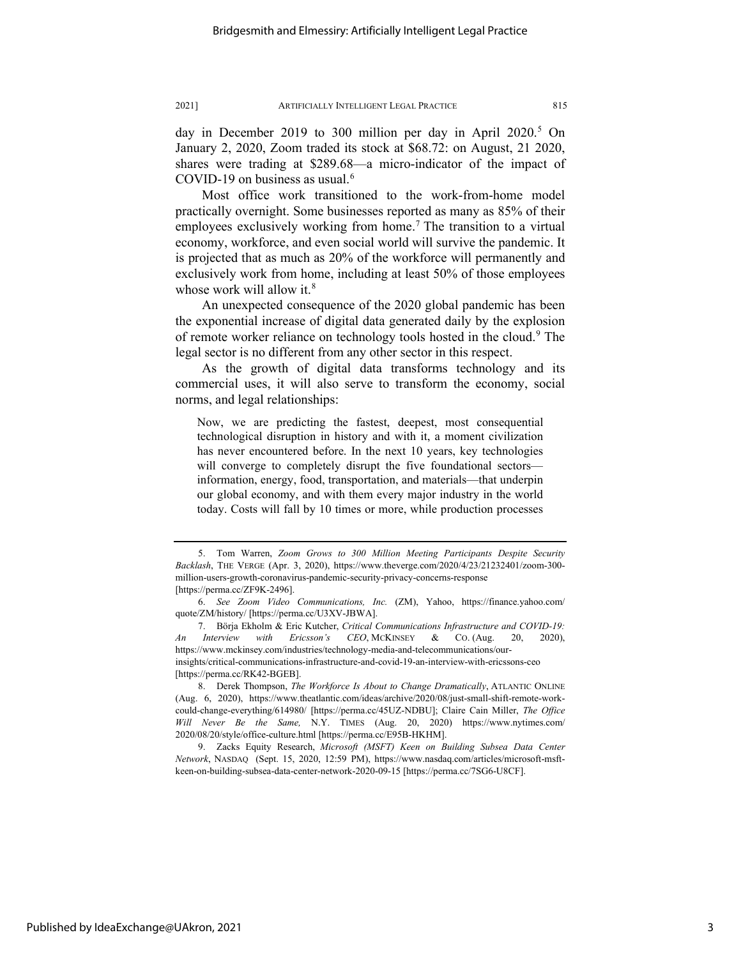day in December 2019 to 300 million per day in April 2020.<sup>[5](#page-3-0)</sup> On January 2, 2020, Zoom traded its stock at \$68.72: on August, 21 2020, shares were trading at \$289.68—a micro-indicator of the impact of COVID-19 on business as usual.<sup>[6](#page-3-1)</sup>

Most office work transitioned to the work-from-home model practically overnight. Some businesses reported as many as 85% of their employees exclusively working from home.<sup>[7](#page-3-2)</sup> The transition to a virtual economy, workforce, and even social world will survive the pandemic. It is projected that as much as 20% of the workforce will permanently and exclusively work from home, including at least 50% of those employees whose work will allow it.<sup>[8](#page-3-3)</sup>

An unexpected consequence of the 2020 global pandemic has been the exponential increase of digital data generated daily by the explosion of remote worker reliance on technology tools hosted in the cloud.<sup>[9](#page-3-4)</sup> The legal sector is no different from any other sector in this respect.

As the growth of digital data transforms technology and its commercial uses, it will also serve to transform the economy, social norms, and legal relationships:

Now, we are predicting the fastest, deepest, most consequential technological disruption in history and with it, a moment civilization has never encountered before. In the next 10 years, key technologies will converge to completely disrupt the five foundational sectors information, energy, food, transportation, and materials—that underpin our global economy, and with them every major industry in the world today. Costs will fall by 10 times or more, while production processes

<span id="page-3-0"></span><sup>5.</sup> Tom Warren, *Zoom Grows to 300 Million Meeting Participants Despite Security Backlash*, THE VERGE (Apr. 3, 2020), https://www.theverge.com/2020/4/23/21232401/zoom-300 million-users-growth-coronavirus-pandemic-security-privacy-concerns-response [https://perma.cc/ZF9K-2496].

<span id="page-3-1"></span><sup>6.</sup> *See Zoom Video Communications, Inc.* (ZM), Yahoo, https://finance.yahoo.com/ quote/ZM/history/ [https://perma.cc/U3XV-JBWA].

<span id="page-3-2"></span><sup>7.</sup> Börja Ekholm & Eric Kutcher, *Critical Communications Infrastructure and COVID-19: An Interview with Ericsson's CEO*, MCKINSEY & CO. (Aug. 20, 2020), https://www.mckinsey.com/industries/technology-media-and-telecommunications/ourinsights/critical-communications-infrastructure-and-covid-19-an-interview-with-ericssons-ceo [https://perma.cc/RK42-BGEB].

<span id="page-3-3"></span><sup>8.</sup> Derek Thompson, *The Workforce Is About to Change Dramatically*, ATLANTIC ONLINE (Aug. 6, 2020), https://www.theatlantic.com/ideas/archive/2020/08/just-small-shift-remote-workcould-change-everything/614980/ [https://perma.cc/45UZ-NDBU]; Claire Cain Miller, *[The Office](https://www.nytimes.com/2020/08/20/style/office-culture.html?referringSource=articleShare)  Will [Never Be the Same,](https://www.nytimes.com/2020/08/20/style/office-culture.html?referringSource=articleShare)* N.Y. TIMES (Aug. 20, 2020) https://www.nytimes.com/ 2020/08/20/style/office-culture.html [https://perma.cc/E95B-HKHM].

<span id="page-3-4"></span><sup>9.</sup> Zacks Equity Research, *Microsoft (MSFT) Keen on Building Subsea Data Center Network*, NASDAQ (Sept. 15, 2020, 12:59 PM), https://www.nasdaq.com/articles/microsoft-msftkeen-on-building-subsea-data-center-network-2020-09-15 [https://perma.cc/7SG6-U8CF].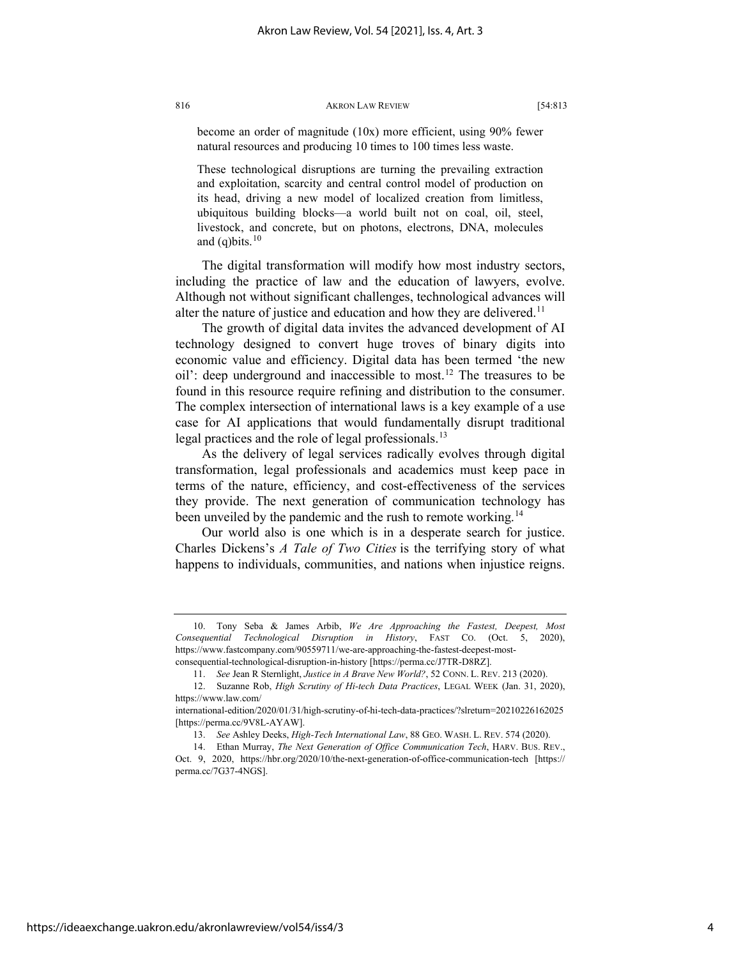become an order of magnitude (10x) more efficient, using 90% fewer natural resources and producing 10 times to 100 times less waste.

These technological disruptions are turning the prevailing extraction and exploitation, scarcity and central control model of production on its head, driving a new model of localized creation from limitless, ubiquitous building blocks—a world built not on coal, oil, steel, livestock, and concrete, but on photons, electrons, DNA, molecules and (q)bits. $10$ 

The digital transformation will modify how most industry sectors, including the practice of law and the education of lawyers, evolve. Although not without significant challenges, technological advances will alter the nature of justice and education and how they are delivered.<sup>[11](#page-4-1)</sup>

The growth of digital data invites the advanced development of AI technology designed to convert huge troves of binary digits into economic value and efficiency. Digital data has been termed 'the new oil': deep underground and inaccessible to most.[12](#page-4-2) The treasures to be found in this resource require refining and distribution to the consumer. The complex intersection of international laws is a key example of a use case for AI applications that would fundamentally disrupt traditional legal practices and the role of legal professionals.<sup>[13](#page-4-3)</sup>

As the delivery of legal services radically evolves through digital transformation, legal professionals and academics must keep pace in terms of the nature, efficiency, and cost-effectiveness of the services they provide. The next generation of communication technology has been unveiled by the pandemic and the rush to remote working.<sup>[14](#page-4-4)</sup>

Our world also is one which is in a desperate search for justice. Charles Dickens's *A Tale of Two Cities* is the terrifying story of what happens to individuals, communities, and nations when injustice reigns.

<span id="page-4-0"></span><sup>10.</sup> Tony Seba & James Arbib, *We Are Approaching the Fastest, Deepest, Most Consequential Technological Disruption in History*, FAST CO. (Oct. 5, 2020), https://www.fastcompany.com/90559711/we-are-approaching-the-fastest-deepest-mostconsequential-technological-disruption-in-history [https://perma.cc/J7TR-D8RZ].

<sup>11.</sup> *See* Jean R Sternlight, *Justice in A Brave New World?*, 52 CONN. L. REV. 213 (2020).

<sup>12.</sup> Suzanne Rob, *High Scrutiny of Hi-tech Data Practices*, LEGAL WEEK (Jan. 31, 2020),

<span id="page-4-2"></span><span id="page-4-1"></span>https://www.law.com/ international-edition/2020/01/31/high-scrutiny-of-hi-tech-data-practices/?slreturn=20210226162025

<sup>[</sup>https://perma.cc/9V8L-AYAW].

<sup>13.</sup> *See* Ashley Deeks, *High-Tech International Law*, 88 GEO. WASH. L. REV. 574 (2020).

<span id="page-4-4"></span><span id="page-4-3"></span><sup>14.</sup> Ethan Murray, *The Next Generation of Office Communication Tech*, HARV. BUS. REV., Oct. 9, 2020, https://hbr.org/2020/10/the-next-generation-of-office-communication-tech [https:// perma.cc/7G37-4NGS].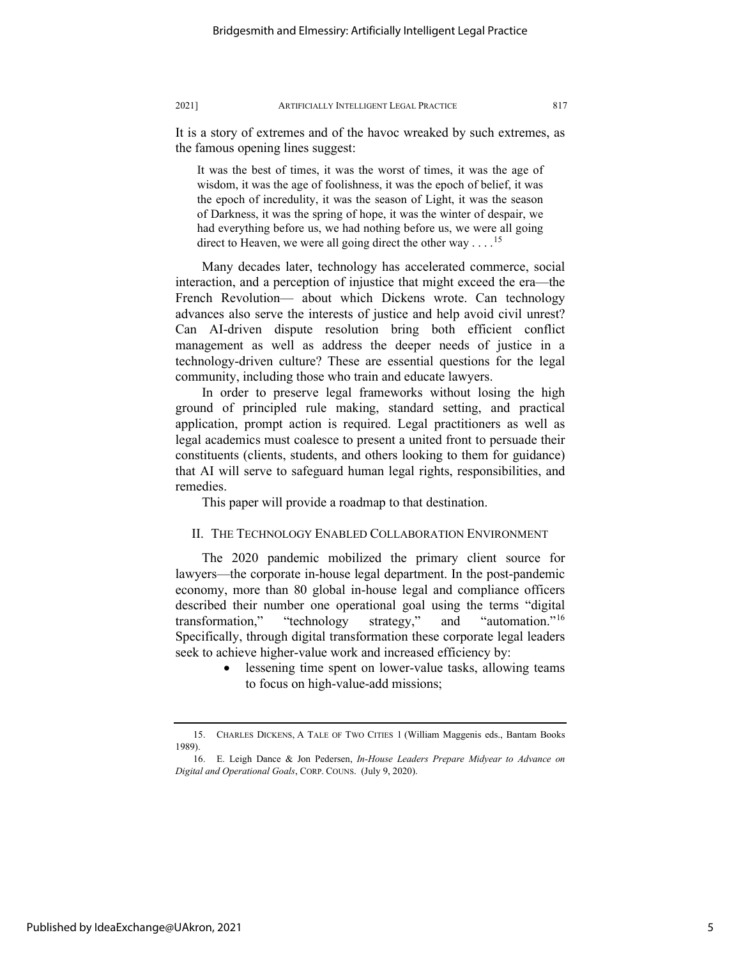It is a story of extremes and of the havoc wreaked by such extremes, as the famous opening lines suggest:

It was the best of times, it was the worst of times, it was the age of wisdom, it was the age of foolishness, it was the epoch of belief, it was the epoch of incredulity, it was the season of Light, it was the season of Darkness, it was the spring of hope, it was the winter of despair, we had everything before us, we had nothing before us, we were all going direct to Heaven, we were all going direct the other way  $\dots$ <sup>[15](#page-5-0)</sup>

Many decades later, technology has accelerated commerce, social interaction, and a perception of injustice that might exceed the era—the French Revolution— about which Dickens wrote. Can technology advances also serve the interests of justice and help avoid civil unrest? Can AI-driven dispute resolution bring both efficient conflict management as well as address the deeper needs of justice in a technology-driven culture? These are essential questions for the legal community, including those who train and educate lawyers.

In order to preserve legal frameworks without losing the high ground of principled rule making, standard setting, and practical application, prompt action is required. Legal practitioners as well as legal academics must coalesce to present a united front to persuade their constituents (clients, students, and others looking to them for guidance) that AI will serve to safeguard human legal rights, responsibilities, and remedies.

This paper will provide a roadmap to that destination.

#### II. THE TECHNOLOGY ENABLED COLLABORATION ENVIRONMENT

The 2020 pandemic mobilized the primary client source for lawyers—the corporate in-house legal department. In the post-pandemic economy, more than 80 global in-house legal and compliance officers described their number one operational goal using the terms "digital transformation," "technology strategy," and "automation."[16](#page-5-1) Specifically, through digital transformation these corporate legal leaders seek to achieve higher-value work and increased efficiency by:

> • lessening time spent on lower-value tasks, allowing teams to focus on high-value-add missions;

<span id="page-5-0"></span><sup>15.</sup> CHARLES DICKENS, A TALE OF TWO CITIES 1 (William Maggenis eds., Bantam Books 1989).

<span id="page-5-1"></span><sup>16.</sup> E. Leigh Dance & Jon Pedersen, *In-House Leaders Prepare Midyear to Advance on Digital and Operational Goals*, CORP. COUNS. (July 9, 2020).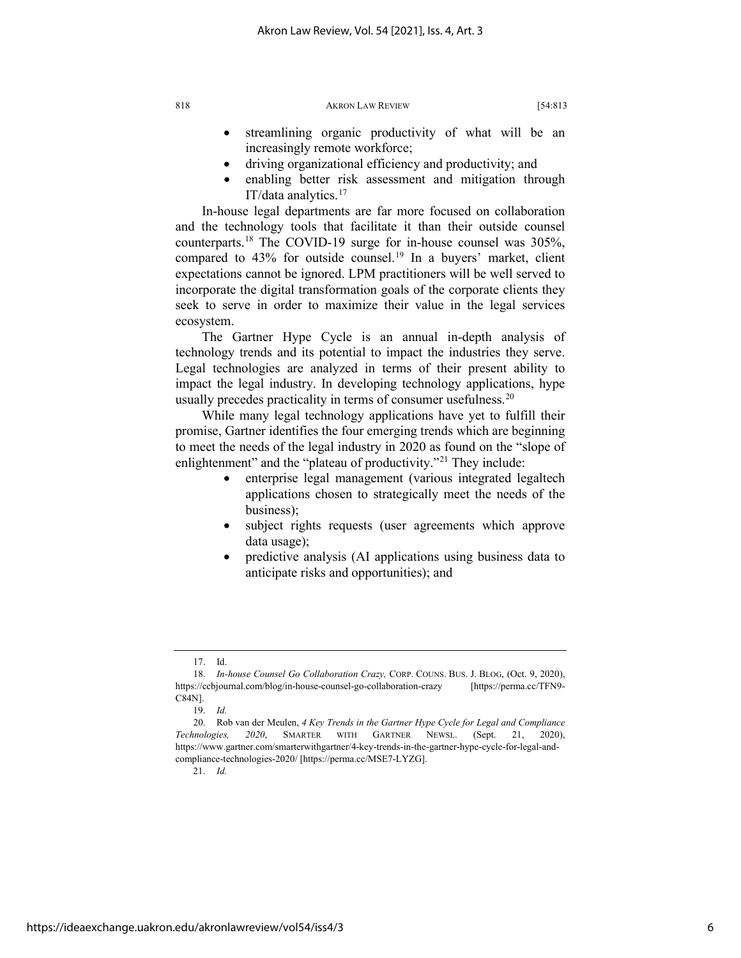- streamlining organic productivity of what will be an increasingly remote workforce;
- driving organizational efficiency and productivity; and
- enabling better risk assessment and mitigation through IT/data analytics.[17](#page-6-0)

In-house legal departments are far more focused on collaboration and the technology tools that facilitate it than their outside counsel counterparts.[18](#page-6-1) The COVID-19 surge for in-house counsel was 305%, compared to  $43\%$  for outside counsel.<sup>[19](#page-6-2)</sup> In a buyers' market, client expectations cannot be ignored. LPM practitioners will be well served to incorporate the digital transformation goals of the corporate clients they seek to serve in order to maximize their value in the legal services ecosystem.

The Gartner Hype Cycle is an annual in-depth analysis of technology trends and its potential to impact the industries they serve. Legal technologies are analyzed in terms of their present ability to impact the legal industry. In developing technology applications, hype usually precedes practicality in terms of consumer usefulness. $20$ 

While many legal technology applications have yet to fulfill their promise, Gartner identifies the four emerging trends which are beginning to meet the needs of the legal industry in 2020 as found on the "slope of enlightenment" and the "plateau of productivity."<sup>21</sup> They include:

- enterprise legal management (various integrated legaltech applications chosen to strategically meet the needs of the business);
- subject rights requests (user agreements which approve data usage);
- predictive analysis (AI applications using business data to anticipate risks and opportunities); and

21. *Id.*

<sup>17.</sup> Id.

<span id="page-6-1"></span><span id="page-6-0"></span><sup>18.</sup> *In-house Counsel Go Collaboration Crazy,* CORP. COUNS. BUS. J. BLOG, (Oct. 9, 2020), https://ccbjournal.com/blog/in-house-counsel-go-collaboration-crazy [https://perma.cc/TFN9- C84N].

<sup>19.</sup> *Id.*

<span id="page-6-4"></span><span id="page-6-3"></span><span id="page-6-2"></span><sup>20.</sup> Rob van der Meulen, *4 Key Trends in the Gartner Hype Cycle for Legal and Compliance Technologies, 2020*, SMARTER WITH GARTNER NEWSL. (Sept. 21, 2020), https://www.gartner.com/smarterwithgartner/4-key-trends-in-the-gartner-hype-cycle-for-legal-andcompliance-technologies-2020/ [https://perma.cc/MSE7-LYZG].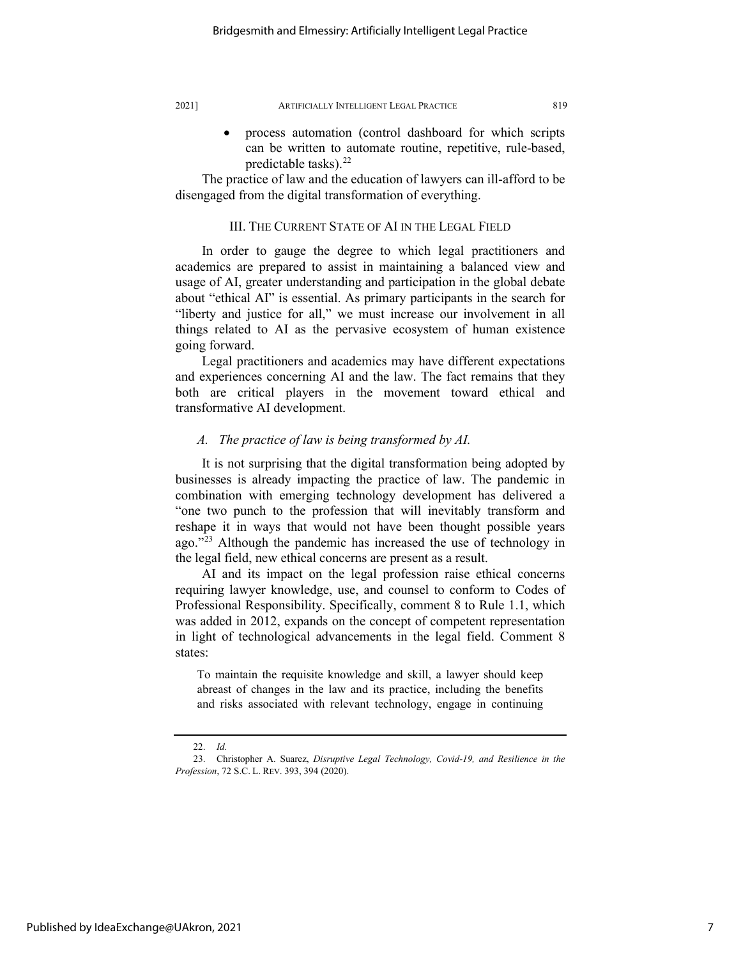can be written to automate routine, repetitive, rule-based, predictable tasks). $^{22}$ 

The practice of law and the education of lawyers can ill-afford to be disengaged from the digital transformation of everything.

#### III. THE CURRENT STATE OF AI IN THE LEGAL FIELD

In order to gauge the degree to which legal practitioners and academics are prepared to assist in maintaining a balanced view and usage of AI, greater understanding and participation in the global debate about "ethical AI" is essential. As primary participants in the search for "liberty and justice for all," we must increase our involvement in all things related to AI as the pervasive ecosystem of human existence going forward.

Legal practitioners and academics may have different expectations and experiences concerning AI and the law. The fact remains that they both are critical players in the movement toward ethical and transformative AI development.

#### *A. The practice of law is being transformed by AI.*

It is not surprising that the digital transformation being adopted by businesses is already impacting the practice of law. The pandemic in combination with emerging technology development has delivered a "one two punch to the profession that will inevitably transform and reshape it in ways that would not have been thought possible years ago."[23](#page-7-1) Although the pandemic has increased the use of technology in the legal field, new ethical concerns are present as a result.

AI and its impact on the legal profession raise ethical concerns requiring lawyer knowledge, use, and counsel to conform to Codes of Professional Responsibility. Specifically, comment 8 to Rule 1.1, which was added in 2012, expands on the concept of competent representation in light of technological advancements in the legal field. Comment 8 states:

To maintain the requisite knowledge and skill, a lawyer should keep abreast of changes in the law and its practice, including the benefits and risks associated with relevant technology, engage in continuing

<sup>22.</sup> *Id.*

<span id="page-7-1"></span><span id="page-7-0"></span><sup>23.</sup> Christopher A. Suarez, *Disruptive Legal Technology, Covid-19, and Resilience in the Profession*, 72 S.C. L. REV. 393, 394 (2020).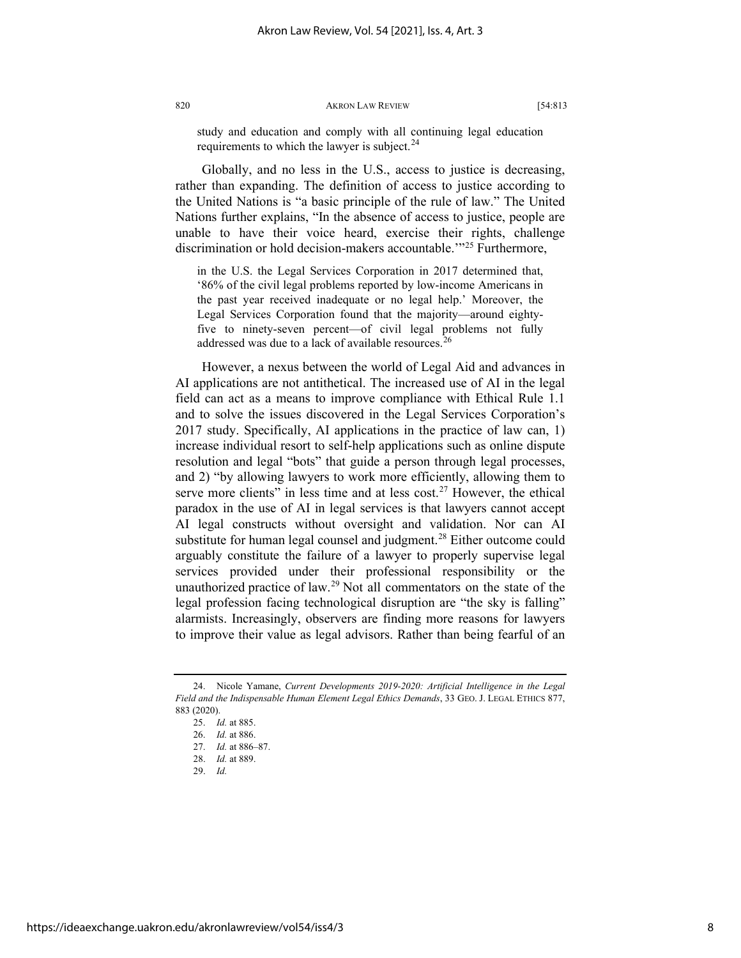study and education and comply with all continuing legal education requirements to which the lawyer is subject.<sup>[24](#page-8-0)</sup>

Globally, and no less in the U.S., access to justice is decreasing, rather than expanding. The definition of access to justice according to the United Nations is "a basic principle of the rule of law." The United Nations further explains, "In the absence of access to justice, people are unable to have their voice heard, exercise their rights, challenge discrimination or hold decision-makers accountable.<sup>'"[25](#page-8-1)</sup> Furthermore,

in the U.S. the Legal Services Corporation in 2017 determined that, '86% of the civil legal problems reported by low-income Americans in the past year received inadequate or no legal help.' Moreover, the Legal Services Corporation found that the majority—around eightyfive to ninety-seven percent—of civil legal problems not fully addressed was due to a lack of available resources.<sup>[26](#page-8-2)</sup>

However, a nexus between the world of Legal Aid and advances in AI applications are not antithetical. The increased use of AI in the legal field can act as a means to improve compliance with Ethical Rule 1.1 and to solve the issues discovered in the Legal Services Corporation's 2017 study. Specifically, AI applications in the practice of law can, 1) increase individual resort to self-help applications such as online dispute resolution and legal "bots" that guide a person through legal processes, and 2) "by allowing lawyers to work more efficiently, allowing them to serve more clients" in less time and at less cost.<sup>[27](#page-8-3)</sup> However, the ethical paradox in the use of AI in legal services is that lawyers cannot accept AI legal constructs without oversight and validation. Nor can AI substitute for human legal counsel and judgment.<sup>28</sup> Either outcome could arguably constitute the failure of a lawyer to properly supervise legal services provided under their professional responsibility or the unauthorized practice of law.<sup>[29](#page-8-5)</sup> Not all commentators on the state of the legal profession facing technological disruption are "the sky is falling" alarmists. Increasingly, observers are finding more reasons for lawyers to improve their value as legal advisors. Rather than being fearful of an

<span id="page-8-4"></span><span id="page-8-3"></span><span id="page-8-2"></span><span id="page-8-1"></span><span id="page-8-0"></span><sup>24.</sup> Nicole Yamane, *Current Developments 2019-2020: Artificial Intelligence in the Legal Field and the Indispensable Human Element Legal Ethics Demands*, 33 GEO. J. LEGAL ETHICS 877, 883 (2020).

<sup>25.</sup> *Id.* at 885.

<sup>26.</sup> *Id.* at 886.

<sup>27.</sup> *Id.* at 886–87.

<sup>28.</sup> *Id.* at 889.

<span id="page-8-5"></span><sup>29.</sup> *Id.*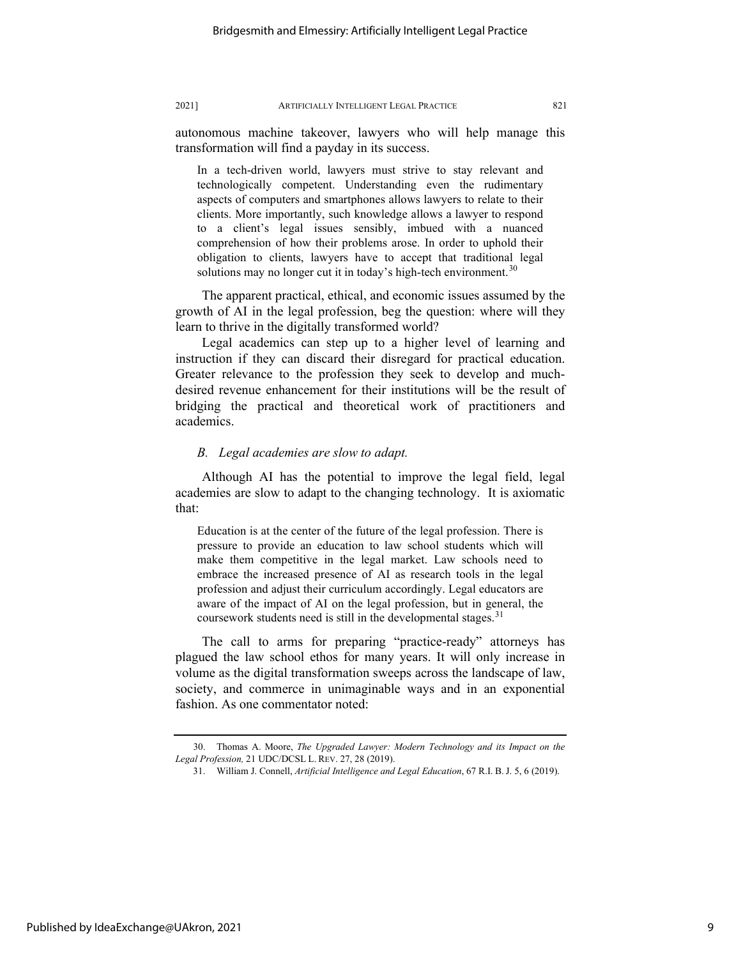autonomous machine takeover, lawyers who will help manage this transformation will find a payday in its success.

In a tech-driven world, lawyers must strive to stay relevant and technologically competent. Understanding even the rudimentary aspects of computers and smartphones allows lawyers to relate to their clients. More importantly, such knowledge allows a lawyer to respond to a client's legal issues sensibly, imbued with a nuanced comprehension of how their problems arose. In order to uphold their obligation to clients, lawyers have to accept that traditional legal solutions may no longer cut it in today's high-tech environment.<sup>[30](#page-9-0)</sup>

The apparent practical, ethical, and economic issues assumed by the growth of AI in the legal profession, beg the question: where will they learn to thrive in the digitally transformed world?

Legal academics can step up to a higher level of learning and instruction if they can discard their disregard for practical education. Greater relevance to the profession they seek to develop and muchdesired revenue enhancement for their institutions will be the result of bridging the practical and theoretical work of practitioners and academics.

#### *B. Legal academies are slow to adapt.*

Although AI has the potential to improve the legal field, legal academies are slow to adapt to the changing technology. It is axiomatic that:

Education is at the center of the future of the legal profession. There is pressure to provide an education to law school students which will make them competitive in the legal market. Law schools need to embrace the increased presence of AI as research tools in the legal profession and adjust their curriculum accordingly. Legal educators are aware of the impact of AI on the legal profession, but in general, the coursework students need is still in the developmental stages.<sup>[31](#page-9-1)</sup>

The call to arms for preparing "practice-ready" attorneys has plagued the law school ethos for many years. It will only increase in volume as the digital transformation sweeps across the landscape of law, society, and commerce in unimaginable ways and in an exponential fashion. As one commentator noted:

<span id="page-9-1"></span><span id="page-9-0"></span><sup>30.</sup> Thomas A. Moore, *The Upgraded Lawyer: Modern Technology and its Impact on the Legal Profession,* 21 UDC/DCSL L. REV. 27, 28 (2019).

<sup>31.</sup> William J. Connell, *Artificial Intelligence and Legal Education*, 67 R.I. B. J. 5, 6 (2019).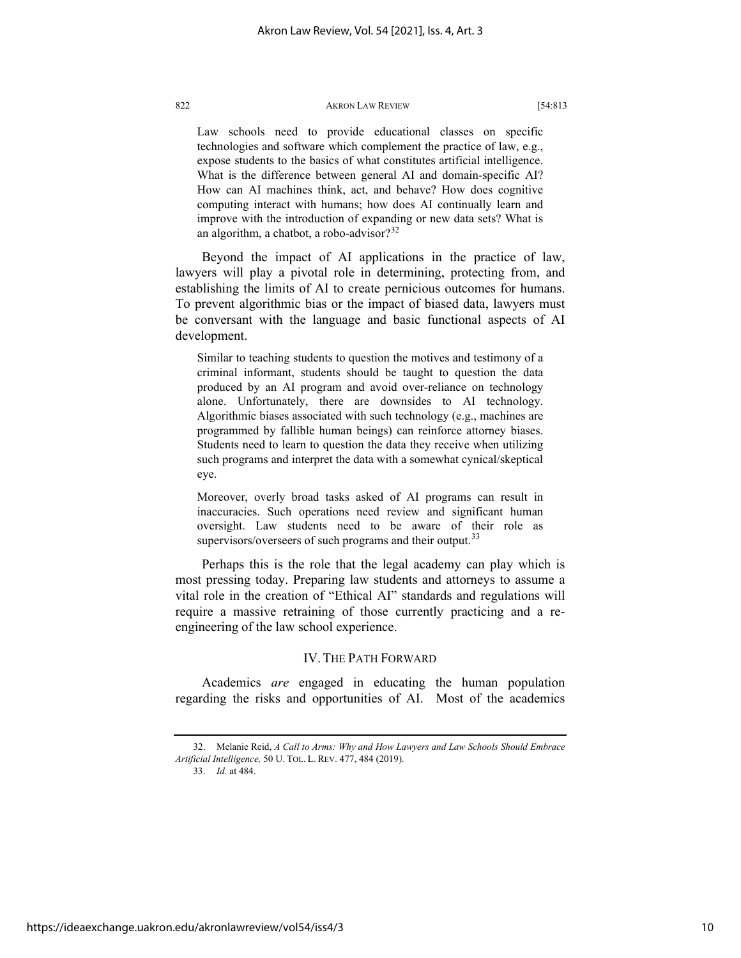Law schools need to provide educational classes on specific technologies and software which complement the practice of law, e.g., expose students to the basics of what constitutes artificial intelligence. What is the difference between general AI and domain-specific AI? How can AI machines think, act, and behave? How does cognitive computing interact with humans; how does AI continually learn and improve with the introduction of expanding or new data sets? What is an algorithm, a chatbot, a robo-advisor?<sup>[32](#page-10-0)</sup>

Beyond the impact of AI applications in the practice of law, lawyers will play a pivotal role in determining, protecting from, and establishing the limits of AI to create pernicious outcomes for humans. To prevent algorithmic bias or the impact of biased data, lawyers must be conversant with the language and basic functional aspects of AI development.

Similar to teaching students to question the motives and testimony of a criminal informant, students should be taught to question the data produced by an AI program and avoid over-reliance on technology alone. Unfortunately, there are downsides to AI technology. Algorithmic biases associated with such technology (e.g., machines are programmed by fallible human beings) can reinforce attorney biases. Students need to learn to question the data they receive when utilizing such programs and interpret the data with a somewhat cynical/skeptical eye.

Moreover, overly broad tasks asked of AI programs can result in inaccuracies. Such operations need review and significant human oversight. Law students need to be aware of their role as supervisors/overseers of such programs and their output.<sup>[33](#page-10-1)</sup>

Perhaps this is the role that the legal academy can play which is most pressing today. Preparing law students and attorneys to assume a vital role in the creation of "Ethical AI" standards and regulations will require a massive retraining of those currently practicing and a reengineering of the law school experience.

#### IV. THE PATH FORWARD

Academics *are* engaged in educating the human population regarding the risks and opportunities of AI. Most of the academics

33. *Id.* at 484.

<span id="page-10-1"></span><span id="page-10-0"></span><sup>32.</sup> Melanie Reid, *A Call to Arms: Why and How Lawyers and Law Schools Should Embrace Artificial Intelligence,* 50 U. TOL. L. REV. 477, 484 (2019).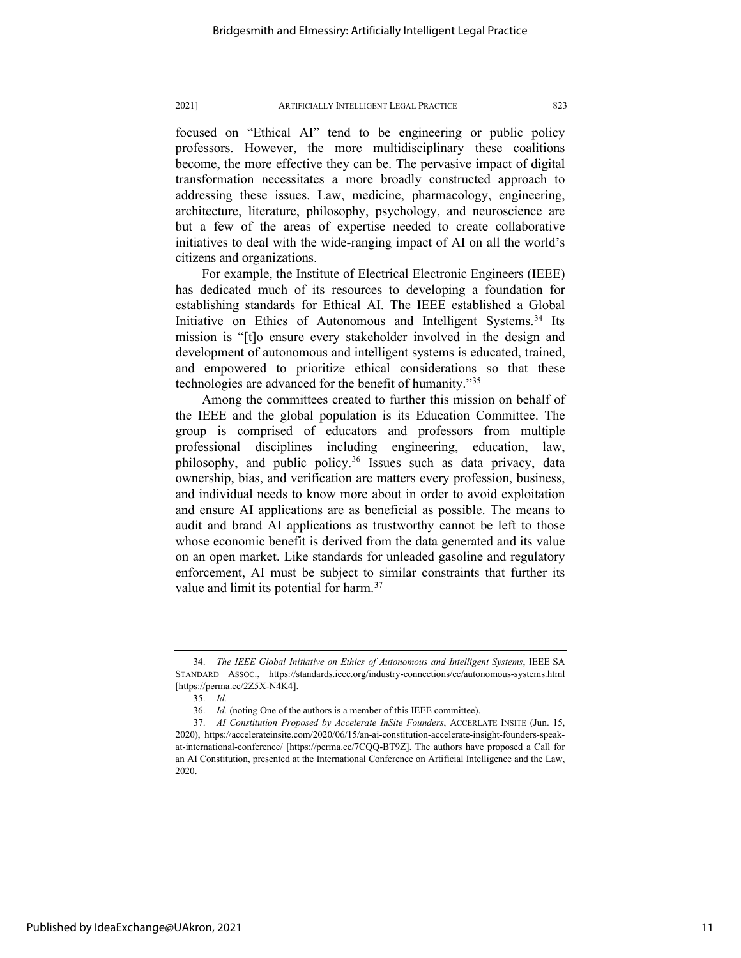#### 2021] ARTIFICIALLY INTELLIGENT LEGAL PRACTICE 823

focused on "Ethical AI" tend to be engineering or public policy professors. However, the more multidisciplinary these coalitions become, the more effective they can be. The pervasive impact of digital transformation necessitates a more broadly constructed approach to addressing these issues. Law, medicine, pharmacology, engineering, architecture, literature, philosophy, psychology, and neuroscience are but a few of the areas of expertise needed to create collaborative initiatives to deal with the wide-ranging impact of AI on all the world's citizens and organizations.

For example, the Institute of Electrical Electronic Engineers (IEEE) has dedicated much of its resources to developing a foundation for establishing standards for Ethical AI. The IEEE established a Global Initiative on Ethics of Autonomous and Intelligent Systems.[34](#page-11-0) Its mission is "[t]o ensure every stakeholder involved in the design and development of autonomous and intelligent systems is educated, trained, and empowered to prioritize ethical considerations so that these technologies are advanced for the benefit of humanity.["35](#page-11-1)

Among the committees created to further this mission on behalf of the IEEE and the global population is its Education Committee. The group is comprised of educators and professors from multiple professional disciplines including engineering, education, law, philosophy, and public policy.<sup>[36](#page-11-2)</sup> Issues such as data privacy, data ownership, bias, and verification are matters every profession, business, and individual needs to know more about in order to avoid exploitation and ensure AI applications are as beneficial as possible. The means to audit and brand AI applications as trustworthy cannot be left to those whose economic benefit is derived from the data generated and its value on an open market. Like standards for unleaded gasoline and regulatory enforcement, AI must be subject to similar constraints that further its value and limit its potential for harm.<sup>37</sup>

<span id="page-11-0"></span><sup>34.</sup> *The IEEE Global Initiative on Ethics of Autonomous and Intelligent Systems*, IEEE SA STANDARD ASSOC., https://standards.ieee.org/industry-connections/ec/autonomous-systems.html [https://perma.cc/2Z5X-N4K4].

<sup>35.</sup> *Id.*

<sup>36.</sup> *Id.* (noting One of the authors is a member of this IEEE committee).

<span id="page-11-3"></span><span id="page-11-2"></span><span id="page-11-1"></span><sup>37.</sup> *AI Constitution Proposed by Accelerate InSite Founders*, ACCERLATE INSITE (Jun. 15, 2020), https://accelerateinsite.com/2020/06/15/an-ai-constitution-accelerate-insight-founders-speakat-international-conference/ [https://perma.cc/7CQQ-BT9Z]. The authors have proposed a Call for an AI Constitution, presented at the International Conference on Artificial Intelligence and the Law, 2020.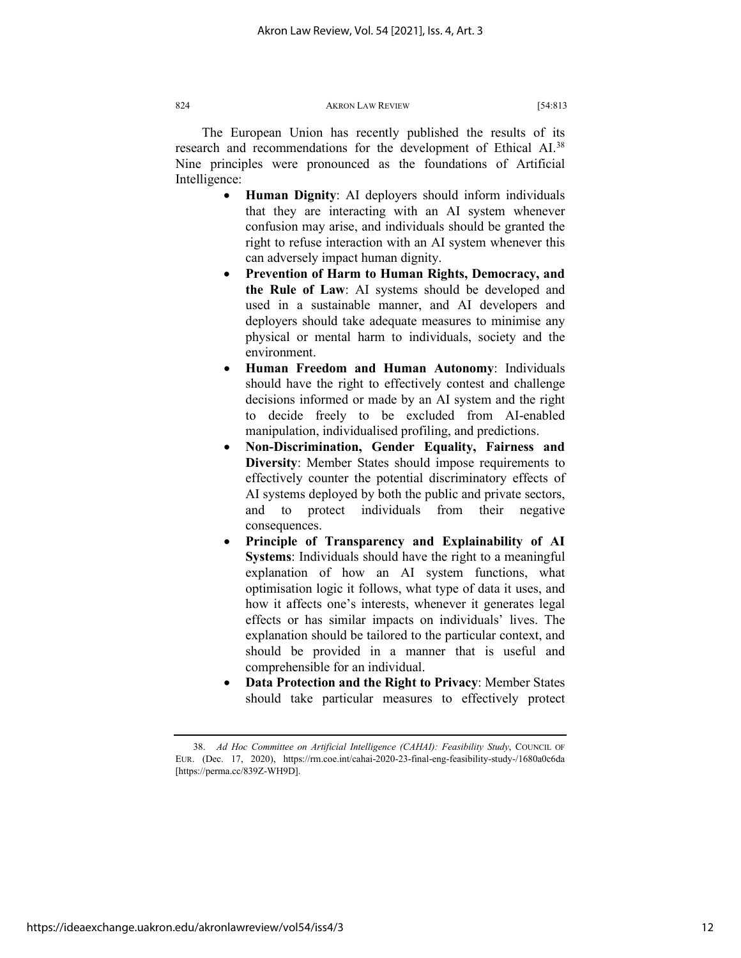The European Union has recently published the results of its research and recommendations for the development of Ethical AI.[38](#page-12-0) Nine principles were pronounced as the foundations of Artificial Intelligence:

- **Human Dignity**: AI deployers should inform individuals that they are interacting with an AI system whenever confusion may arise, and individuals should be granted the right to refuse interaction with an AI system whenever this can adversely impact human dignity.
- **Prevention of Harm to Human Rights, Democracy, and the Rule of Law**: AI systems should be developed and used in a sustainable manner, and AI developers and deployers should take adequate measures to minimise any physical or mental harm to individuals, society and the environment.
- **Human Freedom and Human Autonomy**: Individuals should have the right to effectively contest and challenge decisions informed or made by an AI system and the right to decide freely to be excluded from AI-enabled manipulation, individualised profiling, and predictions.
- **Non-Discrimination, Gender Equality, Fairness and Diversity**: Member States should impose requirements to effectively counter the potential discriminatory effects of AI systems deployed by both the public and private sectors, and to protect individuals from their negative consequences.
- **Principle of Transparency and Explainability of AI Systems**: Individuals should have the right to a meaningful explanation of how an AI system functions, what optimisation logic it follows, what type of data it uses, and how it affects one's interests, whenever it generates legal effects or has similar impacts on individuals' lives. The explanation should be tailored to the particular context, and should be provided in a manner that is useful and comprehensible for an individual.
- **Data Protection and the Right to Privacy**: Member States should take particular measures to effectively protect

<span id="page-12-0"></span><sup>38.</sup> *Ad Hoc Committee on Artificial Intelligence (CAHAI): Feasibility Study*, COUNCIL OF EUR. (Dec. 17, 2020), https://rm.coe.int/cahai-2020-23-final-eng-feasibility-study-/1680a0c6da [https://perma.cc/839Z-WH9D].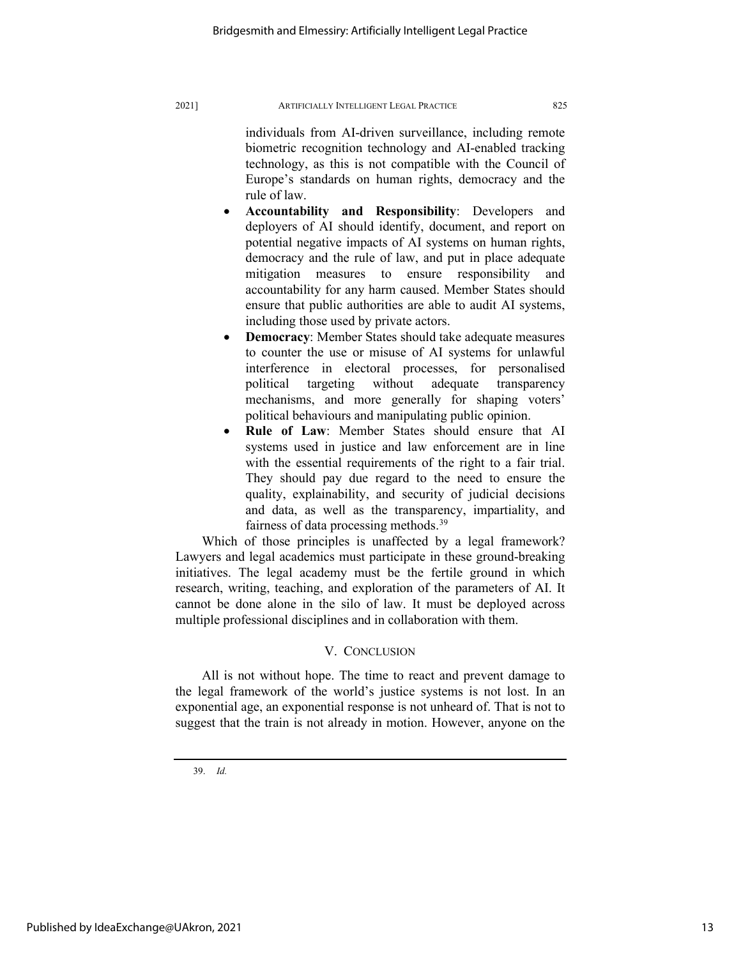#### 2021] ARTIFICIALLY INTELLIGENT LEGAL PRACTICE 825

individuals from AI-driven surveillance, including remote biometric recognition technology and AI-enabled tracking technology, as this is not compatible with the Council of Europe's standards on human rights, democracy and the rule of law.

- **Accountability and Responsibility**: Developers and deployers of AI should identify, document, and report on potential negative impacts of AI systems on human rights, democracy and the rule of law, and put in place adequate mitigation measures to ensure responsibility and accountability for any harm caused. Member States should ensure that public authorities are able to audit AI systems, including those used by private actors.
- **Democracy**: Member States should take adequate measures to counter the use or misuse of AI systems for unlawful interference in electoral processes, for personalised political targeting without adequate transparency mechanisms, and more generally for shaping voters' political behaviours and manipulating public opinion.
- **Rule of Law:** Member States should ensure that AI systems used in justice and law enforcement are in line with the essential requirements of the right to a fair trial. They should pay due regard to the need to ensure the quality, explainability, and security of judicial decisions and data, as well as the transparency, impartiality, and fairness of data processing methods.[39](#page-13-0)

Which of those principles is unaffected by a legal framework? Lawyers and legal academics must participate in these ground-breaking initiatives. The legal academy must be the fertile ground in which research, writing, teaching, and exploration of the parameters of AI. It cannot be done alone in the silo of law. It must be deployed across multiple professional disciplines and in collaboration with them.

#### V. CONCLUSION

All is not without hope. The time to react and prevent damage to the legal framework of the world's justice systems is not lost. In an exponential age, an exponential response is not unheard of. That is not to suggest that the train is not already in motion. However, anyone on the

<span id="page-13-0"></span>39. *Id.*